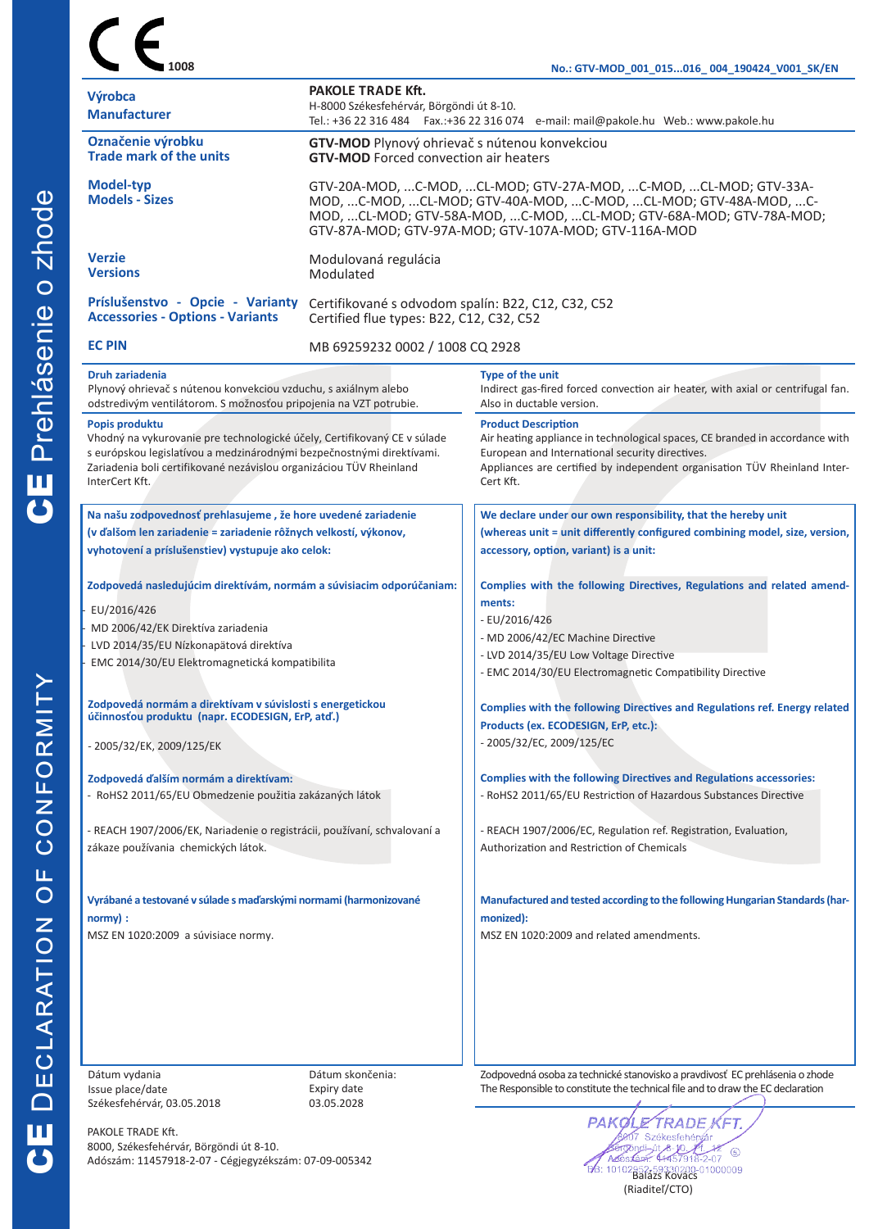|                                                                                                                                                                                                                                                              |                                                                                                                                                                                                                                                                   | No.: GTV-MOD_001_015016_004_190424_V001_SK/EN                                                                                                                                                                                                           |  |  |  |
|--------------------------------------------------------------------------------------------------------------------------------------------------------------------------------------------------------------------------------------------------------------|-------------------------------------------------------------------------------------------------------------------------------------------------------------------------------------------------------------------------------------------------------------------|---------------------------------------------------------------------------------------------------------------------------------------------------------------------------------------------------------------------------------------------------------|--|--|--|
| Výrobca<br><b>Manufacturer</b>                                                                                                                                                                                                                               | <b>PAKOLE TRADE Kft.</b><br>H-8000 Székesfehérvár, Börgöndi út 8-10.<br>Tel.: +36 22 316 484  Fax.:+36 22 316 074  e-mail: mail@pakole.hu Web.: www.pakole.hu                                                                                                     |                                                                                                                                                                                                                                                         |  |  |  |
| Označenie výrobku<br><b>Trade mark of the units</b>                                                                                                                                                                                                          | GTV-MOD Plynový ohrievač s nútenou konvekciou<br><b>GTV-MOD</b> Forced convection air heaters                                                                                                                                                                     |                                                                                                                                                                                                                                                         |  |  |  |
| <b>Model-typ</b><br><b>Models - Sizes</b>                                                                                                                                                                                                                    | GTV-20A-MOD, C-MOD, CL-MOD; GTV-27A-MOD, C-MOD, CL-MOD; GTV-33A-<br>MOD, C-MOD, CL-MOD; GTV-40A-MOD, C-MOD, CL-MOD; GTV-48A-MOD, C-<br>MOD, CL-MOD; GTV-58A-MOD, C-MOD, CL-MOD; GTV-68A-MOD; GTV-78A-MOD;<br>GTV-87A-MOD; GTV-97A-MOD; GTV-107A-MOD; GTV-116A-MOD |                                                                                                                                                                                                                                                         |  |  |  |
| <b>Verzie</b><br><b>Versions</b>                                                                                                                                                                                                                             | Modulovaná regulácia<br>Modulated                                                                                                                                                                                                                                 |                                                                                                                                                                                                                                                         |  |  |  |
| Príslušenstvo - Opcie - Varianty<br><b>Accessories - Options - Variants</b>                                                                                                                                                                                  | Certifikované s odvodom spalín: B22, C12, C32, C52<br>Certified flue types: B22, C12, C32, C52                                                                                                                                                                    |                                                                                                                                                                                                                                                         |  |  |  |
| <b>EC PIN</b>                                                                                                                                                                                                                                                | MB 69259232 0002 / 1008 CQ 2928                                                                                                                                                                                                                                   |                                                                                                                                                                                                                                                         |  |  |  |
| <b>Druh zariadenia</b><br>Plynový ohrievač s nútenou konvekciou vzduchu, s axiálnym alebo<br>odstredivým ventilátorom. S možnosťou pripojenia na VZT potrubie.                                                                                               |                                                                                                                                                                                                                                                                   | Type of the unit<br>Indirect gas-fired forced convection air heater, with axial or centrifugal fan.<br>Also in ductable version.                                                                                                                        |  |  |  |
| Popis produktu<br>Vhodný na vykurovanie pre technologické účely, Certifikovaný CE v súlade<br>s európskou legislatívou a medzinárodnými bezpečnostnými direktívami.<br>Zariadenia boli certifikované nezávislou organizáciou TÜV Rheinland<br>InterCert Kft. |                                                                                                                                                                                                                                                                   | <b>Product Description</b><br>Air heating appliance in technological spaces, CE branded in accordance with<br>European and International security directives.<br>Appliances are certified by independent organisation TÜV Rheinland Inter-<br>Cert Kft. |  |  |  |
| Na našu zodpovednosť prehlasujeme, že hore uvedené zariadenie                                                                                                                                                                                                |                                                                                                                                                                                                                                                                   | We declare under our own responsibility, that the hereby unit<br>(whereas unit = unit differently configured combining model, size, version,                                                                                                            |  |  |  |
| (v ďalšom len zariadenie = zariadenie rôžnych velkostí, výkonov,<br>vyhotovení a príslušenstiev) vystupuje ako celok:                                                                                                                                        |                                                                                                                                                                                                                                                                   | accessory, option, variant) is a unit:                                                                                                                                                                                                                  |  |  |  |
| Zodpovedá nasledujúcim direktívám, normám a súvisiacim odporúčaniam:                                                                                                                                                                                         |                                                                                                                                                                                                                                                                   | Complies with the following Directives, Regulations and related amend-<br>ments:                                                                                                                                                                        |  |  |  |
| EU/2016/426<br>MD 2006/42/EK Direktíva zariadenia                                                                                                                                                                                                            |                                                                                                                                                                                                                                                                   | - EU/2016/426                                                                                                                                                                                                                                           |  |  |  |
| LVD 2014/35/EU Nízkonapätová direktíva                                                                                                                                                                                                                       |                                                                                                                                                                                                                                                                   | - MD 2006/42/EC Machine Directive                                                                                                                                                                                                                       |  |  |  |
| EMC 2014/30/EU Elektromagnetická kompatibilita                                                                                                                                                                                                               |                                                                                                                                                                                                                                                                   | - LVD 2014/35/EU Low Voltage Directive<br>- EMC 2014/30/EU Electromagnetic Compatibility Directive                                                                                                                                                      |  |  |  |
| Zodpovedá normám a direktívam v súvislosti s energetickou<br>účinnosťou produktu (napr. ECODESIGN, ErP, atď.)                                                                                                                                                |                                                                                                                                                                                                                                                                   | Complies with the following Directives and Regulations ref. Energy related<br>Products (ex. ECODESIGN, ErP, etc.):                                                                                                                                      |  |  |  |
| - 2005/32/EK, 2009/125/EK                                                                                                                                                                                                                                    |                                                                                                                                                                                                                                                                   | - 2005/32/EC, 2009/125/EC                                                                                                                                                                                                                               |  |  |  |
| Zodpovedá ďalším normám a direktívam:<br>- RoHS2 2011/65/EU Obmedzenie použitia zakázaných látok                                                                                                                                                             |                                                                                                                                                                                                                                                                   | <b>Complies with the following Directives and Regulations accessories:</b><br>- RoHS2 2011/65/EU Restriction of Hazardous Substances Directive                                                                                                          |  |  |  |
| - REACH 1907/2006/EK, Nariadenie o registrácii, používaní, schvalovaní a<br>zákaze používania chemických látok.                                                                                                                                              |                                                                                                                                                                                                                                                                   | - REACH 1907/2006/EC, Regulation ref. Registration, Evaluation,<br>Authorization and Restriction of Chemicals                                                                                                                                           |  |  |  |
|                                                                                                                                                                                                                                                              |                                                                                                                                                                                                                                                                   |                                                                                                                                                                                                                                                         |  |  |  |
| Vyrábané a testované v súlade s maďarskými normami (harmonizované<br>normy):                                                                                                                                                                                 |                                                                                                                                                                                                                                                                   | Manufactured and tested according to the following Hungarian Standards (har-<br>monized):                                                                                                                                                               |  |  |  |
| MSZ EN 1020:2009 a súvisiace normy.                                                                                                                                                                                                                          |                                                                                                                                                                                                                                                                   | MSZ EN 1020:2009 and related amendments.                                                                                                                                                                                                                |  |  |  |
|                                                                                                                                                                                                                                                              |                                                                                                                                                                                                                                                                   |                                                                                                                                                                                                                                                         |  |  |  |
|                                                                                                                                                                                                                                                              |                                                                                                                                                                                                                                                                   |                                                                                                                                                                                                                                                         |  |  |  |
|                                                                                                                                                                                                                                                              |                                                                                                                                                                                                                                                                   |                                                                                                                                                                                                                                                         |  |  |  |

Dátum vydania Issue place/date Székesfehérvár, 03.05.2018

8000, Székesfehérvár, Börgöndi út 8-10.

Adószám: 11457918-2-07 - Cégjegyzékszám: 07-09-005342

PAKOLE TRADE Kft.

Dátum skončenia: Expiry date 03.05.2028

Zodpovedná osoba za technické stanovisko a pravdivosť EC prehlásenia o zhode The Responsible to constitute the technical file and to draw the EC declaration

PAI Æ  $\circledS$ Balázs Kovács<br>Balázs Kovács<br>Balázs Kovács (Riaditeľ/CTO)